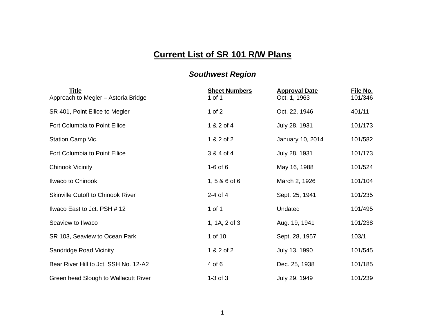## **Current List of SR 101 R/W Plans**

## *Southwest Region*

| <b>Title</b><br>Approach to Megler - Astoria Bridge | <b>Sheet Numbers</b><br>1 of 1 | <b>Approval Date</b><br>Oct. 1, 1963 | File No.<br>101/346 |
|-----------------------------------------------------|--------------------------------|--------------------------------------|---------------------|
| SR 401, Point Ellice to Megler                      | 1 of $2$                       | Oct. 22, 1946                        | 401/11              |
| Fort Columbia to Point Ellice                       | 1 & 2 of 4                     | July 28, 1931                        | 101/173             |
| Station Camp Vic.                                   | 1 & 2 of 2                     | January 10, 2014                     | 101/582             |
| Fort Columbia to Point Ellice                       | 3 & 4 of 4                     | July 28, 1931                        | 101/173             |
| <b>Chinook Vicinity</b>                             | $1-6$ of $6$                   | May 16, 1988                         | 101/524             |
| Ilwaco to Chinook                                   | $1, 586$ of 6                  | March 2, 1926                        | 101/104             |
| <b>Skinville Cutoff to Chinook River</b>            | $2-4$ of 4                     | Sept. 25, 1941                       | 101/235             |
| Ilwaco East to Jct. PSH # 12                        | 1 of 1                         | Undated                              | 101/495             |
| Seaview to Ilwaco                                   | 1, 1A, 2 of 3                  | Aug. 19, 1941                        | 101/238             |
| SR 103, Seaview to Ocean Park                       | 1 of 10                        | Sept. 28, 1957                       | 103/1               |
| Sandridge Road Vicinity                             | 1 & 2 of 2                     | July 13, 1990                        | 101/545             |
| Bear River Hill to Jct. SSH No. 12-A2               | 4 of 6                         | Dec. 25, 1938                        | 101/185             |
| Green head Slough to Wallacutt River                | $1-3$ of $3$                   | July 29, 1949                        | 101/239             |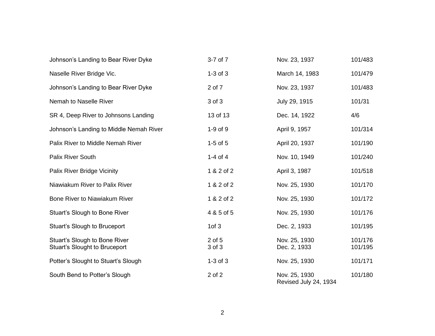| Johnson's Landing to Bear River Dyke                                  | 3-7 of 7         | Nov. 23, 1937                          | 101/483            |
|-----------------------------------------------------------------------|------------------|----------------------------------------|--------------------|
| Naselle River Bridge Vic.                                             | $1-3$ of $3$     | March 14, 1983                         | 101/479            |
| Johnson's Landing to Bear River Dyke                                  | 2 of 7           | Nov. 23, 1937                          | 101/483            |
| Nemah to Naselle River                                                | 3 of 3           | July 29, 1915                          | 101/31             |
| SR 4, Deep River to Johnsons Landing                                  | 13 of 13         | Dec. 14, 1922                          | 4/6                |
| Johnson's Landing to Middle Nemah River                               | $1-9$ of $9$     | April 9, 1957                          | 101/314            |
| Palix River to Middle Nemah River                                     | $1-5$ of $5$     | April 20, 1937                         | 101/190            |
| <b>Palix River South</b>                                              | 1-4 of 4         | Nov. 10, 1949                          | 101/240            |
| Palix River Bridge Vicinity                                           | 1 & 2 of 2       | April 3, 1987                          | 101/518            |
| Niawiakum River to Palix River                                        | 1 & 2 of 2       | Nov. 25, 1930                          | 101/170            |
| Bone River to Niawiakum River                                         | 1 & 2 of 2       | Nov. 25, 1930                          | 101/172            |
| Stuart's Slough to Bone River                                         | 4 & 5 of 5       | Nov. 25, 1930                          | 101/176            |
| Stuart's Slough to Bruceport                                          | 1 of 3           | Dec. 2, 1933                           | 101/195            |
| Stuart's Slough to Bone River<br><b>Stuart's Slought to Bruceport</b> | 2 of 5<br>3 of 3 | Nov. 25, 1930<br>Dec. 2, 1933          | 101/176<br>101/195 |
| Potter's Slought to Stuart's Slough                                   | $1-3$ of $3$     | Nov. 25, 1930                          | 101/171            |
| South Bend to Potter's Slough                                         | 2 of 2           | Nov. 25, 1930<br>Revised July 24, 1934 | 101/180            |